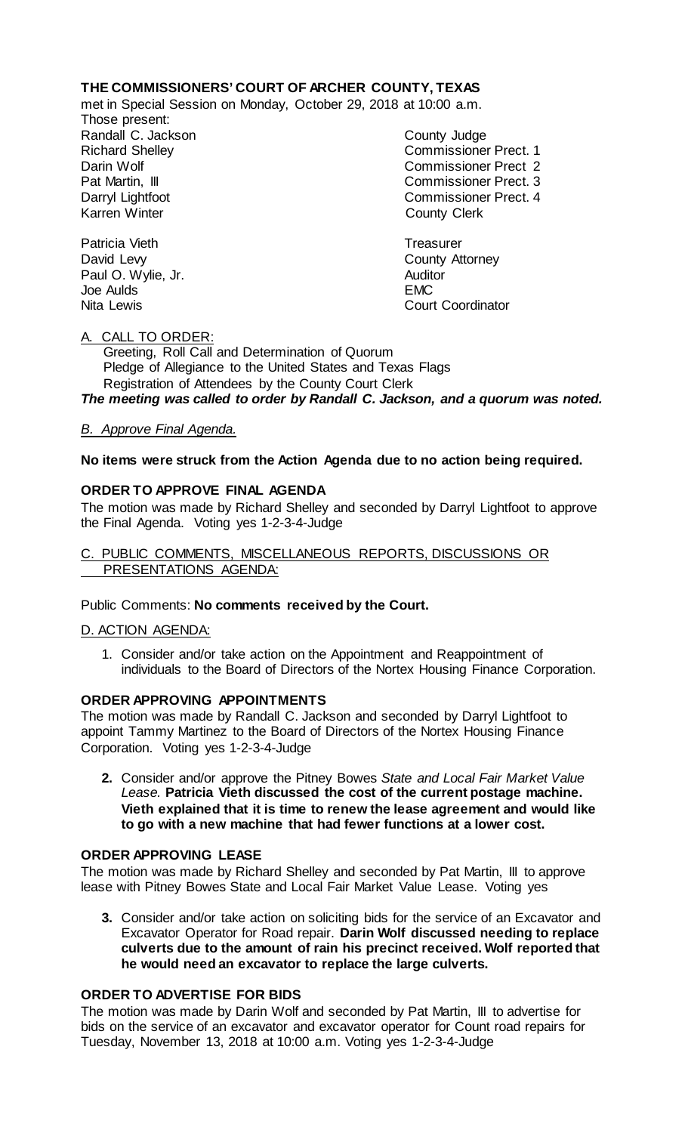# **THE COMMISSIONERS' COURT OF ARCHER COUNTY, TEXAS**

met in Special Session on Monday, October 29, 2018 at 10:00 a.m.

Those present: Randall C. Jackson **County Judge** 

Richard Shelley Commissioner Prect. 1 Darin Wolf Commissioner Prect 2 Pat Martin, III Commissioner Prect. 3 Darryl Lightfoot **Commissioner Prect. 4**<br>
Karren Winter **County County Clerk County Clerk** 

Patricia Vieth **Treasurer Treasurer** David Levy **County** Attorney Paul O. Wylie, Jr. **Auditor** Joe Aulds EMC Nita Lewis **Court Coordinator** Court Coordinator

## A. CALL TO ORDER:

 Greeting, Roll Call and Determination of Quorum Pledge of Allegiance to the United States and Texas Flags Registration of Attendees by the County Court Clerk

*The meeting was called to order by Randall C. Jackson, and a quorum was noted.*

## *B. Approve Final Agenda.*

## **No items were struck from the Action Agenda due to no action being required.**

## **ORDER TO APPROVE FINAL AGENDA**

The motion was made by Richard Shelley and seconded by Darryl Lightfoot to approve the Final Agenda. Voting yes 1-2-3-4-Judge

### C. PUBLIC COMMENTS, MISCELLANEOUS REPORTS, DISCUSSIONS OR PRESENTATIONS AGENDA:

Public Comments: **No comments received by the Court.**

#### D. ACTION AGENDA:

1. Consider and/or take action on the Appointment and Reappointment of individuals to the Board of Directors of the Nortex Housing Finance Corporation.

#### **ORDER APPROVING APPOINTMENTS**

The motion was made by Randall C. Jackson and seconded by Darryl Lightfoot to appoint Tammy Martinez to the Board of Directors of the Nortex Housing Finance Corporation. Voting yes 1-2-3-4-Judge

**2.** Consider and/or approve the Pitney Bowes *State and Local Fair Market Value Lease.* **Patricia Vieth discussed the cost of the current postage machine. Vieth explained that it is time to renew the lease agreement and would like to go with a new machine that had fewer functions at a lower cost.** 

#### **ORDER APPROVING LEASE**

The motion was made by Richard Shelley and seconded by Pat Martin, III to approve lease with Pitney Bowes State and Local Fair Market Value Lease. Voting yes

**3.** Consider and/or take action on soliciting bids for the service of an Excavator and Excavator Operator for Road repair. **Darin Wolf discussed needing to replace culverts due to the amount of rain his precinct received. Wolf reported that he would need an excavator to replace the large culverts.** 

## **ORDER TO ADVERTISE FOR BIDS**

The motion was made by Darin Wolf and seconded by Pat Martin, III to advertise for bids on the service of an excavator and excavator operator for Count road repairs for Tuesday, November 13, 2018 at 10:00 a.m. Voting yes 1-2-3-4-Judge